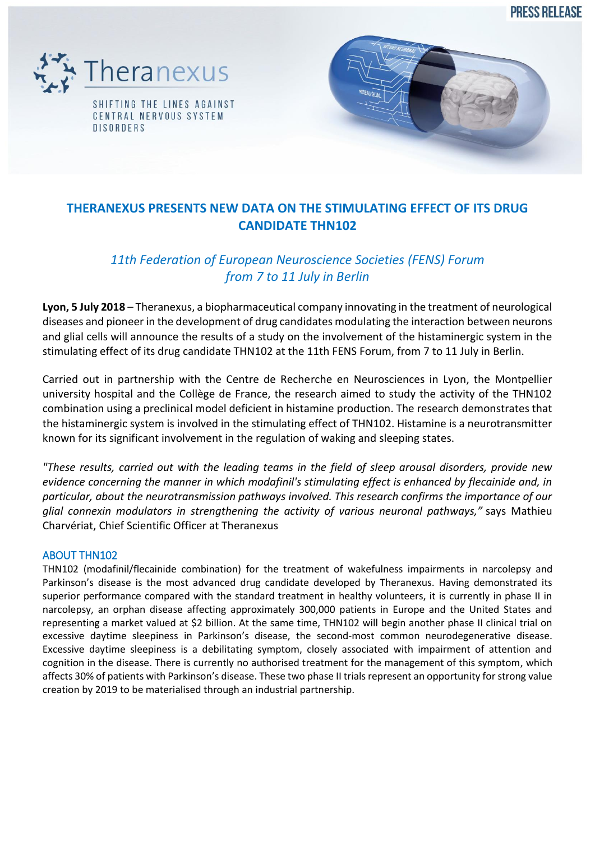**PRESS RELEASE** 





# **THERANEXUS PRESENTS NEW DATA ON THE STIMULATING EFFECT OF ITS DRUG CANDIDATE THN102**

# *11th Federation of European Neuroscience Societies (FENS) Forum from 7 to 11 July in Berlin*

**Lyon, 5 July 2018** – Theranexus, a biopharmaceutical company innovating in the treatment of neurological diseases and pioneer in the development of drug candidates modulating the interaction between neurons and glial cells will announce the results of a study on the involvement of the histaminergic system in the stimulating effect of its drug candidate THN102 at the 11th FENS Forum, from 7 to 11 July in Berlin.

Carried out in partnership with the Centre de Recherche en Neurosciences in Lyon, the Montpellier university hospital and the Collège de France, the research aimed to study the activity of the THN102 combination using a preclinical model deficient in histamine production. The research demonstrates that the histaminergic system is involved in the stimulating effect of THN102. Histamine is a neurotransmitter known for its significant involvement in the regulation of waking and sleeping states.

*"These results, carried out with the leading teams in the field of sleep arousal disorders, provide new evidence concerning the manner in which modafinil's stimulating effect is enhanced by flecainide and, in particular, about the neurotransmission pathways involved. This research confirms the importance of our glial connexin modulators in strengthening the activity of various neuronal pathways,"* says Mathieu Charvériat, Chief Scientific Officer at Theranexus

### ABOUT THN102

THN102 (modafinil/flecainide combination) for the treatment of wakefulness impairments in narcolepsy and Parkinson's disease is the most advanced drug candidate developed by Theranexus. Having demonstrated its superior performance compared with the standard treatment in healthy volunteers, it is currently in phase II in narcolepsy, an orphan disease affecting approximately 300,000 patients in Europe and the United States and representing a market valued at \$2 billion. At the same time, THN102 will begin another phase II clinical trial on excessive daytime sleepiness in Parkinson's disease, the second-most common neurodegenerative disease. Excessive daytime sleepiness is a debilitating symptom, closely associated with impairment of attention and cognition in the disease. There is currently no authorised treatment for the management of this symptom, which affects 30% of patients with Parkinson's disease. These two phase II trials represent an opportunity for strong value creation by 2019 to be materialised through an industrial partnership.